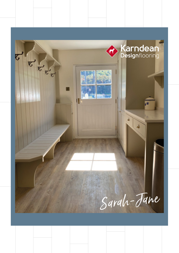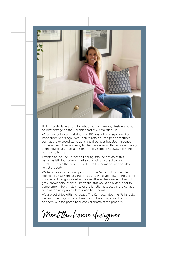

Hi, I'm Sarah-Jane and I blog about home interiors, lifestyle and our holiday cottage on the Cornish coast at @justalittlebuild.

When we took over Leat House, a 200 year old cottage near Port Isaac, three years ago I was keen to retain all the period features such as the exposed stone walls and fireplaces but also introduce modern clean lines and easy to clean surfaces so that anyone staying at the house can relax and simply enjoy some time away from the hustle and bustle.

I wanted to include Karndean flooring into the design as this has a realistic look of wood but also provides a practical and durable surface that would stand up to the demands of a holiday rental property.

We fell in love with Country Oak from the Van Gogh range after seeing it in-situ within an interiors shop. We loved how authentic the wood effect design looked with its weathered textures and the soft grey-brown colour tones. I knew that this would be a ideal floor to complement the simple style of the functional spaces in the cottage such as the utility room, larder and bathrooms.

We are delighted with the results. The Karndean flooring fits in really well with the original period features of the cottage and blends perfectly with the pared back coastal charm of the property.

Meet the home designer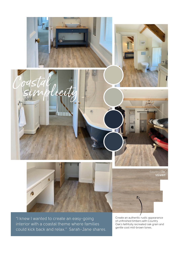

Create an authentic rustic appearance of unfinished timbers with Country Oak's faithfully recreated oak grain and gentle cool mid-brown tones.

"I knew I wanted to create an easy-going interior with a coastal theme where families could kick back and relax." Sarah-Jane shares.

licity

[Country Oak](http://)  **VGW81T**



**I**